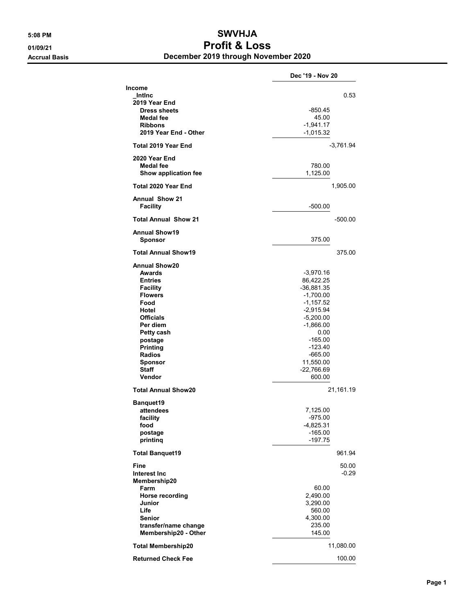## 5:08 PM SWVHJA 01/09/21 Profit & Loss Accrual Basis December 2019 through November 2020

|                                                                                                                                                                                                                                                                                                                                 | Dec '19 - Nov 20                                                                                                                                                                                                                                                          |
|---------------------------------------------------------------------------------------------------------------------------------------------------------------------------------------------------------------------------------------------------------------------------------------------------------------------------------|---------------------------------------------------------------------------------------------------------------------------------------------------------------------------------------------------------------------------------------------------------------------------|
| <b>Income</b><br>Intinc<br>2019 Year End<br><b>Dress sheets</b><br><b>Medal fee</b><br><b>Ribbons</b><br>2019 Year End - Other                                                                                                                                                                                                  | 0.53<br>-850.45<br>45.00<br>$-1,941.17$<br>$-1,015.32$                                                                                                                                                                                                                    |
| Total 2019 Year End                                                                                                                                                                                                                                                                                                             | $-3,761.94$                                                                                                                                                                                                                                                               |
| 2020 Year End<br><b>Medal fee</b><br>Show application fee                                                                                                                                                                                                                                                                       | 780.00<br>1,125.00                                                                                                                                                                                                                                                        |
| Total 2020 Year End                                                                                                                                                                                                                                                                                                             | 1,905.00                                                                                                                                                                                                                                                                  |
| <b>Annual Show 21</b><br><b>Facility</b>                                                                                                                                                                                                                                                                                        | $-500.00$                                                                                                                                                                                                                                                                 |
| <b>Total Annual Show 21</b>                                                                                                                                                                                                                                                                                                     | -500.00                                                                                                                                                                                                                                                                   |
| <b>Annual Show19</b><br>Sponsor                                                                                                                                                                                                                                                                                                 | 375.00                                                                                                                                                                                                                                                                    |
| <b>Total Annual Show19</b>                                                                                                                                                                                                                                                                                                      | 375.00                                                                                                                                                                                                                                                                    |
| <b>Annual Show20</b><br>Awards<br><b>Entries</b><br><b>Facility</b><br><b>Flowers</b><br>Food<br>Hotel<br><b>Officials</b><br>Per diem<br>Petty cash<br>postage<br>Printing<br><b>Radios</b><br><b>Sponsor</b><br><b>Staff</b><br>Vendor<br><b>Total Annual Show20</b><br>Banquet19<br>attendees<br>facility<br>food<br>postage | $-3,970.16$<br>86,422.25<br>$-36,881.35$<br>$-1,700.00$<br>$-1,157.52$<br>$-2,915.94$<br>$-5,200.00$<br>$-1,866.00$<br>0.00<br>$-165.00$<br>-123.40<br>$-665.00$<br>11,550.00<br>$-22,766.69$<br>600.00<br>21,161.19<br>7,125.00<br>$-975.00$<br>$-4,825.31$<br>$-165.00$ |
| printinq                                                                                                                                                                                                                                                                                                                        | -197.75                                                                                                                                                                                                                                                                   |
| <b>Total Banquet19</b>                                                                                                                                                                                                                                                                                                          | 961.94                                                                                                                                                                                                                                                                    |
| Fine<br><b>Interest Inc</b><br>Membership20<br>Farm<br>Horse recording<br>Junior<br>Life<br><b>Senior</b><br>transfer/name change<br>Membership20 - Other                                                                                                                                                                       | 50.00<br>$-0.29$<br>60.00<br>2,490.00<br>3,290.00<br>560.00<br>4,300.00<br>235.00<br>145.00                                                                                                                                                                               |
| <b>Total Membership20</b>                                                                                                                                                                                                                                                                                                       | 11,080.00                                                                                                                                                                                                                                                                 |
| <b>Returned Check Fee</b>                                                                                                                                                                                                                                                                                                       | 100.00                                                                                                                                                                                                                                                                    |